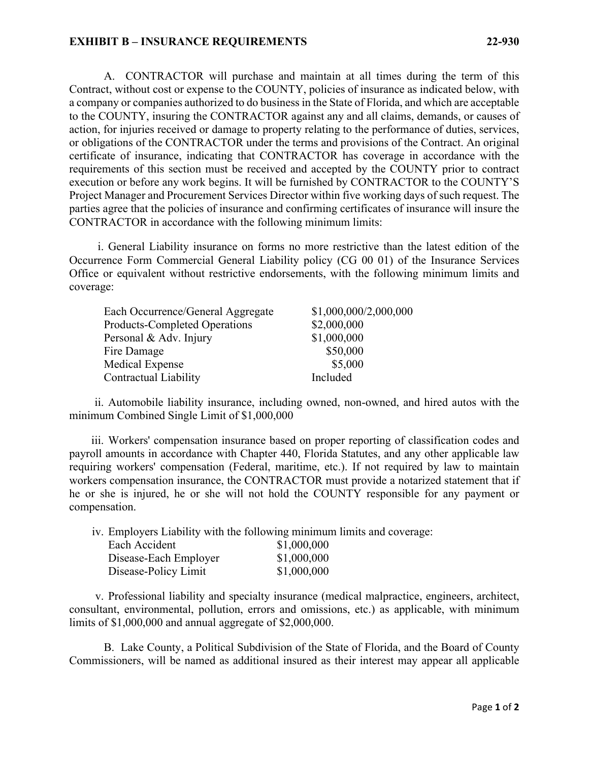## **EXHIBIT B – INSURANCE REQUIREMENTS 22-930**

A. CONTRACTOR will purchase and maintain at all times during the term of this Contract, without cost or expense to the COUNTY, policies of insurance as indicated below, with a company or companies authorized to do business in the State of Florida, and which are acceptable to the COUNTY, insuring the CONTRACTOR against any and all claims, demands, or causes of action, for injuries received or damage to property relating to the performance of duties, services, or obligations of the CONTRACTOR under the terms and provisions of the Contract. An original certificate of insurance, indicating that CONTRACTOR has coverage in accordance with the requirements of this section must be received and accepted by the COUNTY prior to contract execution or before any work begins. It will be furnished by CONTRACTOR to the COUNTY'S Project Manager and Procurement Services Director within five working days of such request. The parties agree that the policies of insurance and confirming certificates of insurance will insure the CONTRACTOR in accordance with the following minimum limits:

i. General Liability insurance on forms no more restrictive than the latest edition of the Occurrence Form Commercial General Liability policy (CG 00 01) of the Insurance Services Office or equivalent without restrictive endorsements, with the following minimum limits and coverage:

| Each Occurrence/General Aggregate    | \$1,000,000/2,000,000 |
|--------------------------------------|-----------------------|
| <b>Products-Completed Operations</b> | \$2,000,000           |
| Personal & Adv. Injury               | \$1,000,000           |
| Fire Damage                          | \$50,000              |
| Medical Expense                      | \$5,000               |
| Contractual Liability                | Included              |

ii. Automobile liability insurance, including owned, non-owned, and hired autos with the minimum Combined Single Limit of \$1,000,000

iii. Workers' compensation insurance based on proper reporting of classification codes and payroll amounts in accordance with Chapter 440, Florida Statutes, and any other applicable law requiring workers' compensation (Federal, maritime, etc.). If not required by law to maintain workers compensation insurance, the CONTRACTOR must provide a notarized statement that if he or she is injured, he or she will not hold the COUNTY responsible for any payment or compensation.

iv. Employers Liability with the following minimum limits and coverage:

| Each Accident         | \$1,000,000 |
|-----------------------|-------------|
| Disease-Each Employer | \$1,000,000 |
| Disease-Policy Limit  | \$1,000,000 |

v. Professional liability and specialty insurance (medical malpractice, engineers, architect, consultant, environmental, pollution, errors and omissions, etc.) as applicable, with minimum limits of \$1,000,000 and annual aggregate of \$2,000,000.

B. Lake County, a Political Subdivision of the State of Florida, and the Board of County Commissioners, will be named as additional insured as their interest may appear all applicable